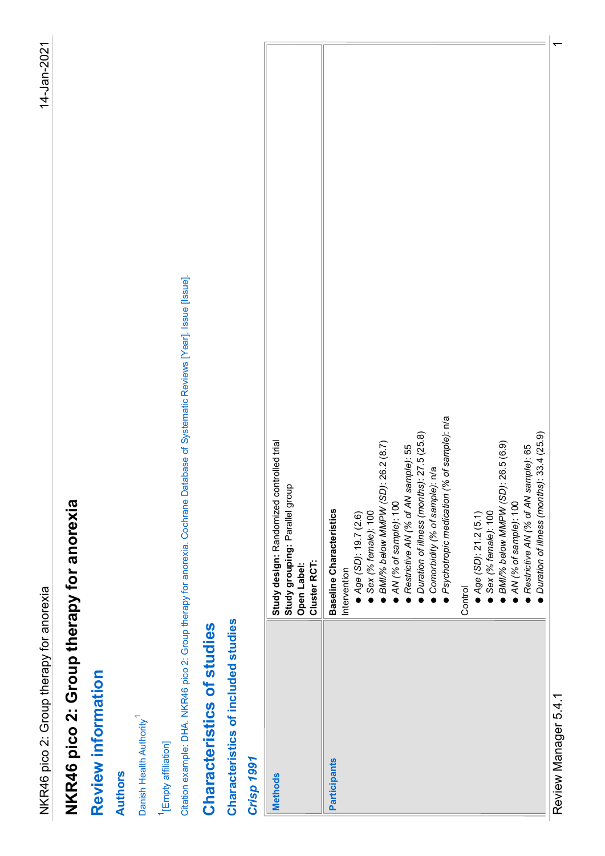| Citation example: DHA. NKR46 pico 2: Group therapy for anorexia. Cochrane Database of Systematic Reviews [Year], Issue [Issue].<br>Restrictive AN (% of AN sample): 55<br>Duration of illness (months): 27.5 (25.8)<br>Study design: Randomized controlled trial<br>Study grouping: Parallel group<br>Open Label:<br>BMI/% below MMPW (SD): 26.2 (8.7)<br>Comorbidity (% of sample): n/a<br>NKR46 pico 2: Group therapy for anorexia<br>AN (% of sample): 100<br><b>Baseline Characteristics</b><br>Sex (% female): 100<br>Age (SD): 19.7 (2.6)<br>Cluster RCT:<br>Intervention<br>NKR46 pico 2: Group therapy for anorexia<br>Characteristics of included studies<br>Characteristics of studies<br>Review information<br>Danish Health Authority <sup>1</sup><br><sup>1</sup> [Empty affiliation]<br><b>Crisp 1991</b><br>Participants<br><b>Authors</b><br><b>Methods</b> | ● Psychotropic medication (% of sample): n/a<br>BMI/% below MMPW (SD): 26.5 (6.9)<br>AN (% of sample): 100<br>● Age (SD): 21.2 (5.1)<br>● Sex (% female): 100<br>Control |
|-----------------------------------------------------------------------------------------------------------------------------------------------------------------------------------------------------------------------------------------------------------------------------------------------------------------------------------------------------------------------------------------------------------------------------------------------------------------------------------------------------------------------------------------------------------------------------------------------------------------------------------------------------------------------------------------------------------------------------------------------------------------------------------------------------------------------------------------------------------------------------|--------------------------------------------------------------------------------------------------------------------------------------------------------------------------|
|                                                                                                                                                                                                                                                                                                                                                                                                                                                                                                                                                                                                                                                                                                                                                                                                                                                                             |                                                                                                                                                                          |
|                                                                                                                                                                                                                                                                                                                                                                                                                                                                                                                                                                                                                                                                                                                                                                                                                                                                             |                                                                                                                                                                          |
|                                                                                                                                                                                                                                                                                                                                                                                                                                                                                                                                                                                                                                                                                                                                                                                                                                                                             |                                                                                                                                                                          |
|                                                                                                                                                                                                                                                                                                                                                                                                                                                                                                                                                                                                                                                                                                                                                                                                                                                                             |                                                                                                                                                                          |
|                                                                                                                                                                                                                                                                                                                                                                                                                                                                                                                                                                                                                                                                                                                                                                                                                                                                             |                                                                                                                                                                          |
|                                                                                                                                                                                                                                                                                                                                                                                                                                                                                                                                                                                                                                                                                                                                                                                                                                                                             |                                                                                                                                                                          |
|                                                                                                                                                                                                                                                                                                                                                                                                                                                                                                                                                                                                                                                                                                                                                                                                                                                                             |                                                                                                                                                                          |
|                                                                                                                                                                                                                                                                                                                                                                                                                                                                                                                                                                                                                                                                                                                                                                                                                                                                             |                                                                                                                                                                          |
|                                                                                                                                                                                                                                                                                                                                                                                                                                                                                                                                                                                                                                                                                                                                                                                                                                                                             |                                                                                                                                                                          |
|                                                                                                                                                                                                                                                                                                                                                                                                                                                                                                                                                                                                                                                                                                                                                                                                                                                                             |                                                                                                                                                                          |
|                                                                                                                                                                                                                                                                                                                                                                                                                                                                                                                                                                                                                                                                                                                                                                                                                                                                             |                                                                                                                                                                          |
|                                                                                                                                                                                                                                                                                                                                                                                                                                                                                                                                                                                                                                                                                                                                                                                                                                                                             |                                                                                                                                                                          |
|                                                                                                                                                                                                                                                                                                                                                                                                                                                                                                                                                                                                                                                                                                                                                                                                                                                                             |                                                                                                                                                                          |
|                                                                                                                                                                                                                                                                                                                                                                                                                                                                                                                                                                                                                                                                                                                                                                                                                                                                             |                                                                                                                                                                          |
|                                                                                                                                                                                                                                                                                                                                                                                                                                                                                                                                                                                                                                                                                                                                                                                                                                                                             |                                                                                                                                                                          |
|                                                                                                                                                                                                                                                                                                                                                                                                                                                                                                                                                                                                                                                                                                                                                                                                                                                                             |                                                                                                                                                                          |
|                                                                                                                                                                                                                                                                                                                                                                                                                                                                                                                                                                                                                                                                                                                                                                                                                                                                             |                                                                                                                                                                          |
|                                                                                                                                                                                                                                                                                                                                                                                                                                                                                                                                                                                                                                                                                                                                                                                                                                                                             |                                                                                                                                                                          |
|                                                                                                                                                                                                                                                                                                                                                                                                                                                                                                                                                                                                                                                                                                                                                                                                                                                                             |                                                                                                                                                                          |
|                                                                                                                                                                                                                                                                                                                                                                                                                                                                                                                                                                                                                                                                                                                                                                                                                                                                             |                                                                                                                                                                          |
|                                                                                                                                                                                                                                                                                                                                                                                                                                                                                                                                                                                                                                                                                                                                                                                                                                                                             | ● Restrictive AN (% of AN sample): 65<br>● Duration of illness (months): 33.4 (25.9)                                                                                     |
|                                                                                                                                                                                                                                                                                                                                                                                                                                                                                                                                                                                                                                                                                                                                                                                                                                                                             |                                                                                                                                                                          |
|                                                                                                                                                                                                                                                                                                                                                                                                                                                                                                                                                                                                                                                                                                                                                                                                                                                                             |                                                                                                                                                                          |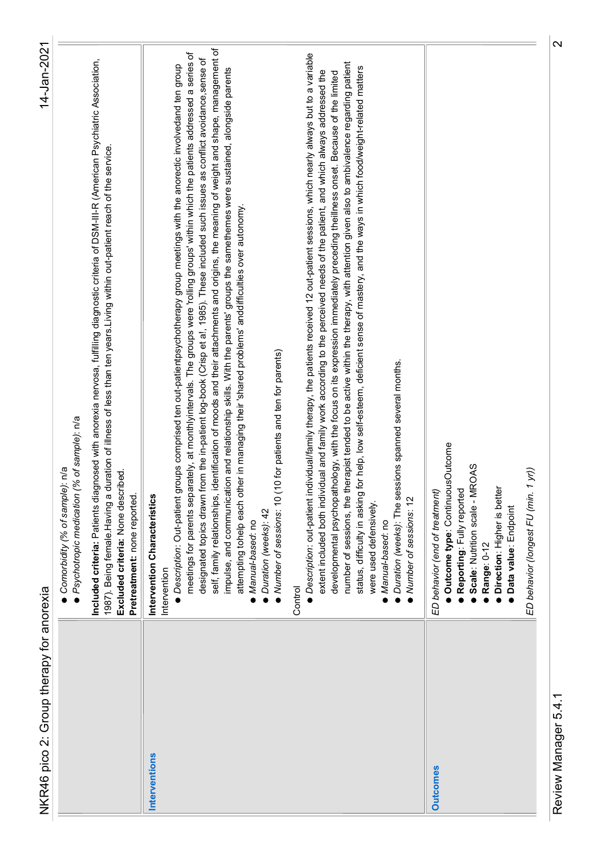| NKR46 pico 2: Group therapy for anorexia | 14-Jan-2021                                                                                                                                                                                                                                                                                                                                                                                                                                                                                                                                                                                                                                                                                                                                                                                                                                                                                                              |
|------------------------------------------|--------------------------------------------------------------------------------------------------------------------------------------------------------------------------------------------------------------------------------------------------------------------------------------------------------------------------------------------------------------------------------------------------------------------------------------------------------------------------------------------------------------------------------------------------------------------------------------------------------------------------------------------------------------------------------------------------------------------------------------------------------------------------------------------------------------------------------------------------------------------------------------------------------------------------|
|                                          | ● Psychotropic medication (% of sample): n/a<br>● Comorbidity (% of sample): n/a                                                                                                                                                                                                                                                                                                                                                                                                                                                                                                                                                                                                                                                                                                                                                                                                                                         |
|                                          | Included criteria: Patients diagnosed with anorexia nervosa, fulfilling diagnostic criteria of DSM-III-R (American Psychiatric Association,<br>1987). Being female Having a duration of illness of less than ten years Living within out-patient reach of the service.<br>Excluded criteria: None described.<br>Pretreatment: none reported.                                                                                                                                                                                                                                                                                                                                                                                                                                                                                                                                                                             |
| Interventions                            | Intervention Characteristics<br>Intervention                                                                                                                                                                                                                                                                                                                                                                                                                                                                                                                                                                                                                                                                                                                                                                                                                                                                             |
|                                          | neaning of weight and shape, management of<br>meetings for parents separately, at monthlyintervals. The groups were 'rolling groups' within which the patients addressed a series of<br>such issues as conflict avoidance, sense of<br>● Description: Out-patient groups comprised ten out-patientpsychotherapy group meetings with the anorectic involvedand ten group<br>nemes were sustained, alongside parents<br>attempting tohelp each other in managing their 'shared problems' anddifficulties over autonomy.<br>designated topics drawn from the in-patient log-book (Crisp et al, 1985). These included<br>self, family relationships, identification of moods and their attachments and origins, the n<br>impulse, and communication and relationship skills. With the parents' groups the sameth<br>Number of sessions: 10 (10 for patients and ten for parents)<br>Duration (weeks): 42<br>Manual-based: no |
|                                          | ● Description: out-patient individual/family therapy, the patients received 12 out-patient sessions, which nearly always but to a variable<br>number of sessions, the therapist tended to be active within the therapy, with attention given also to ambivalence regarding patient<br>status, difficulty in asking for help, low self-esteem, deficient sense of mastery, and the ways in which food/weight-related matters<br>extent included both individual and family work according to the perceived needs of the patient, and which always addressed the<br>theillness onset. Because of the limited<br>developmental psychopathology, with the focus on its expression immediately preceding<br>Duration (weeks): The sessions spanned several months.<br>• Number of sessions: 12<br>were used defensively.<br>· Manual-based: no<br>Control                                                                     |
| <b>Outcomes</b>                          | Outcome type: ContinuousOutcome<br>Scale: Nutrition scale - MROAS<br>ED behavior (longest FU (min. 1 yr))<br>Direction: Higher is better<br>Reporting: Fully reported<br>ED behavior (end of treatment)<br><b>Data value:</b> Endpoint<br>Range: 0-12                                                                                                                                                                                                                                                                                                                                                                                                                                                                                                                                                                                                                                                                    |
| Review Manager 5.4.1                     | $\mathbf{\Omega}$                                                                                                                                                                                                                                                                                                                                                                                                                                                                                                                                                                                                                                                                                                                                                                                                                                                                                                        |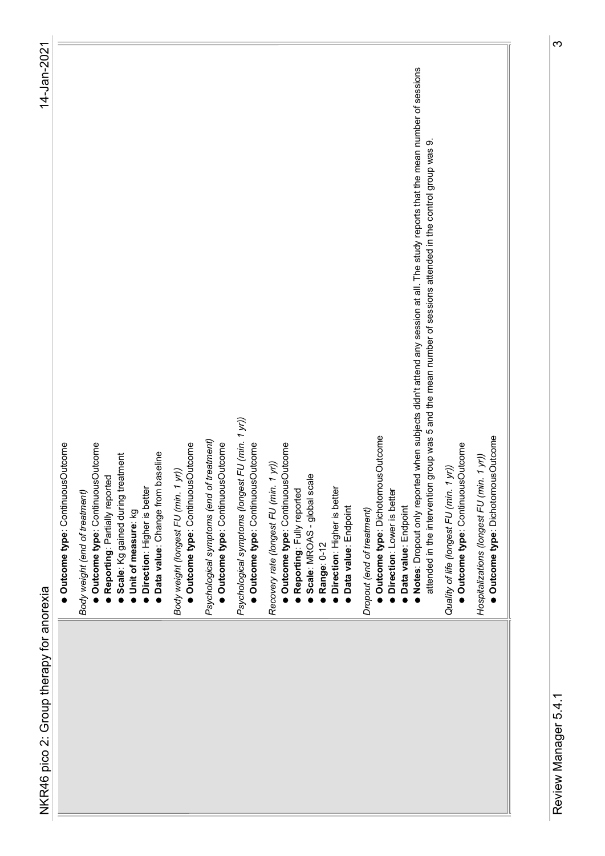| ● Notes: Dropout only reported when subjects didn't attend any session at all. The study reports that the mean number of sessions<br>attended in the intervention group was 5 and the mean number of sessions attended in the control group was 9.<br>Psychological symptoms (longest FU (min. 1 yr))<br>Outcome type: DichotomousOutcome<br>Outcome type: DichotomousOutcome<br>Psychological symptoms (end of treatment)<br>Outcome type: ContinuousOutcome<br>· Outcome type: ContinuousOutcome<br>· Outcome type: ContinuousOutcome<br>· Outcome type: ContinuousOutcome<br>· Outcome type: ContinuousOutcome<br>Outcome type: ContinuousOutcome<br>Outcome type: ContinuousOutcome<br>Scale: Kg gained during treatment<br><b>Data value:</b> Change from baseline<br>Hospitalizations (longest FU (min. 1 yr))<br>Recovery rate (longest FU (min. 1 yr))<br>Quality of life (longest FU (min. 1 yr))<br>Body weight (longest FU (min. 1 yr))<br>Scale: MROAS - global scale<br>· Reporting: Partially reported<br>Direction: Higher is better<br>Direction: Higher is better<br>· Reporting: Fully reported<br>· Direction: Lower is better<br>Body weight (end of treatment)<br>· Data value: Endpoint<br>· Data value: Endpoint<br>Dropout (end of treatment)<br>Unit of measure: kg<br>Range: 0-12<br>NKR46 pico 2: Group therapy for anorexia |
|---------------------------------------------------------------------------------------------------------------------------------------------------------------------------------------------------------------------------------------------------------------------------------------------------------------------------------------------------------------------------------------------------------------------------------------------------------------------------------------------------------------------------------------------------------------------------------------------------------------------------------------------------------------------------------------------------------------------------------------------------------------------------------------------------------------------------------------------------------------------------------------------------------------------------------------------------------------------------------------------------------------------------------------------------------------------------------------------------------------------------------------------------------------------------------------------------------------------------------------------------------------------------------------------------------------------------------------------------------|
|                                                                                                                                                                                                                                                                                                                                                                                                                                                                                                                                                                                                                                                                                                                                                                                                                                                                                                                                                                                                                                                                                                                                                                                                                                                                                                                                                         |
|                                                                                                                                                                                                                                                                                                                                                                                                                                                                                                                                                                                                                                                                                                                                                                                                                                                                                                                                                                                                                                                                                                                                                                                                                                                                                                                                                         |
|                                                                                                                                                                                                                                                                                                                                                                                                                                                                                                                                                                                                                                                                                                                                                                                                                                                                                                                                                                                                                                                                                                                                                                                                                                                                                                                                                         |
|                                                                                                                                                                                                                                                                                                                                                                                                                                                                                                                                                                                                                                                                                                                                                                                                                                                                                                                                                                                                                                                                                                                                                                                                                                                                                                                                                         |
|                                                                                                                                                                                                                                                                                                                                                                                                                                                                                                                                                                                                                                                                                                                                                                                                                                                                                                                                                                                                                                                                                                                                                                                                                                                                                                                                                         |
|                                                                                                                                                                                                                                                                                                                                                                                                                                                                                                                                                                                                                                                                                                                                                                                                                                                                                                                                                                                                                                                                                                                                                                                                                                                                                                                                                         |
|                                                                                                                                                                                                                                                                                                                                                                                                                                                                                                                                                                                                                                                                                                                                                                                                                                                                                                                                                                                                                                                                                                                                                                                                                                                                                                                                                         |
|                                                                                                                                                                                                                                                                                                                                                                                                                                                                                                                                                                                                                                                                                                                                                                                                                                                                                                                                                                                                                                                                                                                                                                                                                                                                                                                                                         |
|                                                                                                                                                                                                                                                                                                                                                                                                                                                                                                                                                                                                                                                                                                                                                                                                                                                                                                                                                                                                                                                                                                                                                                                                                                                                                                                                                         |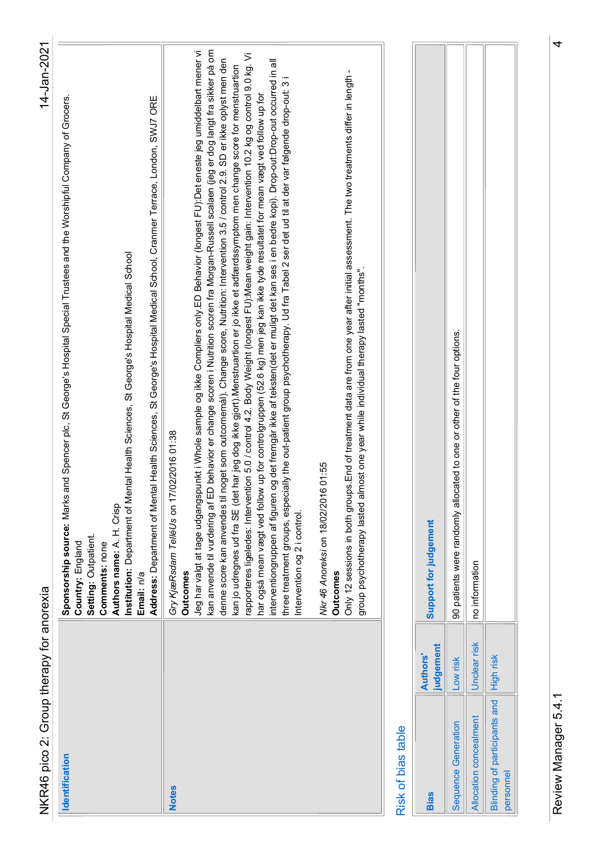| Ś<br>:<br>המירתים<br>=<br>2<br>i<br>ć | ists |
|---------------------------------------|------|
|                                       |      |
|                                       |      |
|                                       |      |
|                                       |      |
|                                       |      |
|                                       |      |

| <b>Bias</b>                             | judgement<br>Authors' | Support for judgement                                                       |
|-----------------------------------------|-----------------------|-----------------------------------------------------------------------------|
| <b>Sequence Generation</b>              | Low risk              | allocated to one or other of the four options.<br>90 patients were randomly |
| <b>Allocation concealment</b>           | Unclear risk          | no information                                                              |
| Blinding of participants and  High risk |                       |                                                                             |
| bersonnel                               |                       |                                                                             |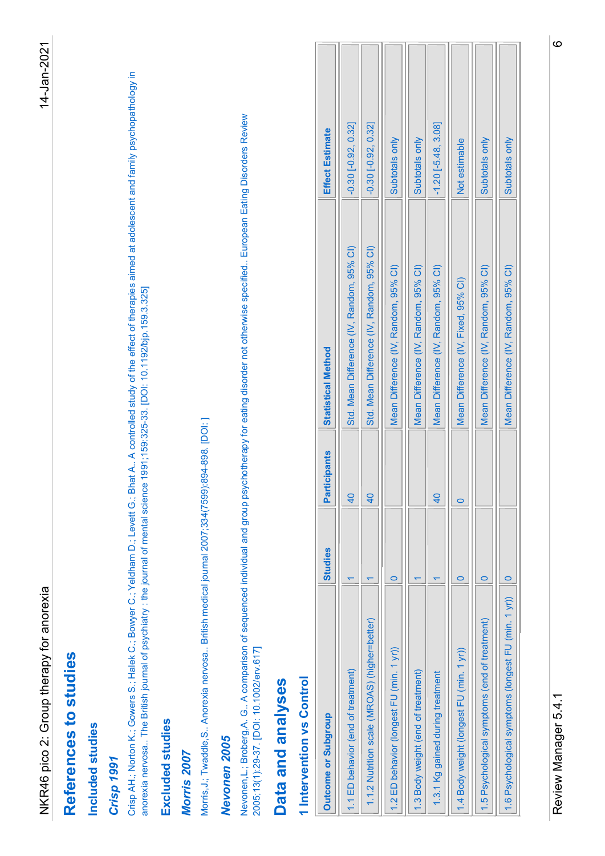| References to studies<br>Included studies                                                                                                                                                                                                                                                                               |                                           |                         |
|-------------------------------------------------------------------------------------------------------------------------------------------------------------------------------------------------------------------------------------------------------------------------------------------------------------------------|-------------------------------------------|-------------------------|
|                                                                                                                                                                                                                                                                                                                         |                                           |                         |
|                                                                                                                                                                                                                                                                                                                         |                                           |                         |
| Crisp 1991                                                                                                                                                                                                                                                                                                              |                                           |                         |
| Crisp AH.; Norton K.; Gowers S.; Halek C.; Bowyer C.; Yeldham D.; Levett G.; Bhat A A controlled study of the effect of therapies aimed at adolescent and family psychopathology in<br>anorexia nervosa The British journal of psychiatry : the journal of mental science 1991;159:325-33. [DOI: 10.1192/bjp.159.3.325] |                                           |                         |
| Excluded studies                                                                                                                                                                                                                                                                                                        |                                           |                         |
| Morris,J.; Twaddle,S Anorexia nervosa British medical journal 2007;334(7599);894-898. [DOI:]<br>Morris 2007                                                                                                                                                                                                             |                                           |                         |
| Nevonen 2005                                                                                                                                                                                                                                                                                                            |                                           |                         |
| Nevonen,L.; Broberg,A. G A comparison of sequenced individual and group psychotherapy for eating disorder not otherwise specified European Eating Disorders Review<br>2005;13(1):29-37. [DOI: 10.1002/erv.617]                                                                                                          |                                           |                         |
| Data and analyses                                                                                                                                                                                                                                                                                                       |                                           |                         |
| 1 Intervention vs Control                                                                                                                                                                                                                                                                                               |                                           |                         |
| Participants<br><b>Studies</b><br>Outcome or Subgroup                                                                                                                                                                                                                                                                   | <b>Statistical Method</b>                 | Effect Estimate         |
| $\overline{40}$<br>$\overline{\mathbf{r}}$<br>1.1 ED behavior (end of treatment)                                                                                                                                                                                                                                        | Std. Mean Difference (IV, Random, 95% CI) | $-0.30[-0.92, 0.32]$    |
| 40<br>$\overline{\mathbf{r}}$<br>1.1.2 Nutrition scale (MROAS) (higher=better)                                                                                                                                                                                                                                          | Std. Mean Difference (IV, Random, 95% CI) | $-0.30$ $[-0.92, 0.32]$ |
| $\circ$<br>(min. 1 yr)<br>1.2 ED behavior (longest FU                                                                                                                                                                                                                                                                   | Mean Difference (IV, Random, 95% CI)      | Subtotals only          |
| $\overline{\phantom{0}}$<br>1.3 Body weight (end of treatment)                                                                                                                                                                                                                                                          | Mean Difference (IV, Random, 95% CI)      | Subtotals only          |
| 40<br>$\leftarrow$<br>1.3.1 Kg gained during treatment                                                                                                                                                                                                                                                                  | Mean Difference (IV, Random, 95% CI)      | $-1.20[-5.48, 3.08]$    |
| $\circ$<br>$\circ$<br>(min. 1 yr))<br>1.4 Body weight (longest FU                                                                                                                                                                                                                                                       | Mean Difference (IV, Fixed, 95% CI)       | Not estimable           |
|                                                                                                                                                                                                                                                                                                                         | Mean Difference (IV, Random, 95% CI)      | Subtotals only          |
| $\circ$<br>(end of treatment)<br>1.5 Psychological symptoms                                                                                                                                                                                                                                                             |                                           |                         |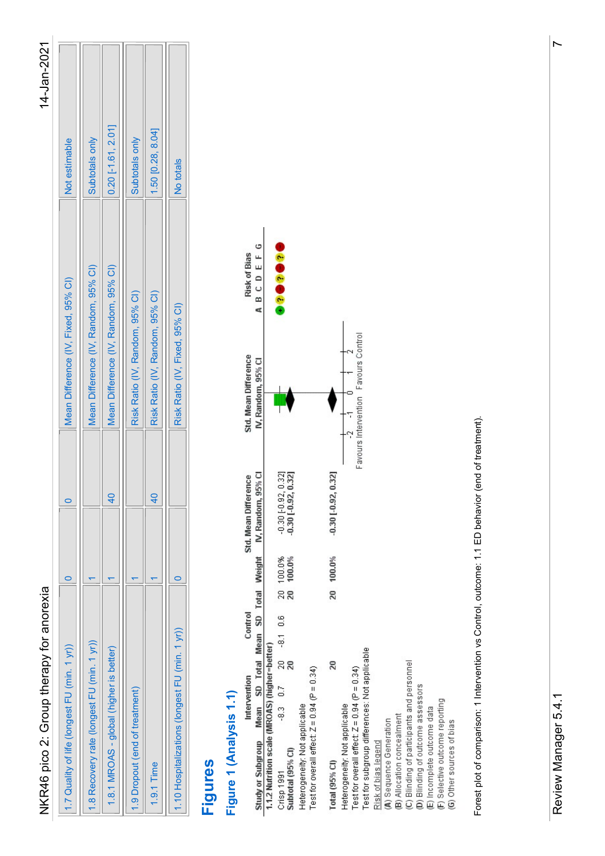| L      |
|--------|
| t<br>Г |
|        |
| ĩ      |

| 1.7 Quality of life (longest FU (min. 1 yr))   |  | Mean Difference (IV, Fixed, 95% CI)  | Not estimable        |
|------------------------------------------------|--|--------------------------------------|----------------------|
| 1.8 Recovery rate (longest FU (min. 1 yr))     |  | Mean Difference (IV, Random, 95% CI) | Subtotals only       |
| 1.8.1 MROAS - global (higher is better)        |  | Mean Difference (IV, Random, 95% CI) | $0.20$ [-1.61, 2.01] |
| 1.9 Dropout (end of treatment)                 |  | Risk Ratio (IV, Random, 95% CI)      | Subtotals only       |
| 1.9.1 Time                                     |  | Risk Ratio (IV, Random, 95% CI)      | 1.50 [0.28, 8.04]    |
| 1.10 Hospitalizations (longest FU (min. 1 yr)) |  | Risk Ratio (IV, Fixed, 95% CI)       | No totals            |

| NKR46 pico 2: Group therapy for anorexia                                                                                                                                                                                                                                                                                                                                                                                                  |                                                    |                                                                              | 14-Jan-2021          |
|-------------------------------------------------------------------------------------------------------------------------------------------------------------------------------------------------------------------------------------------------------------------------------------------------------------------------------------------------------------------------------------------------------------------------------------------|----------------------------------------------------|------------------------------------------------------------------------------|----------------------|
| $\circ$<br>(min. 1 yr)<br>1.7 Quality of life (longest FU                                                                                                                                                                                                                                                                                                                                                                                 | $\circ$                                            | Mean Difference (IV, Fixed, 95% CI)                                          | Not estimable        |
| $\left \blacktriangledown\right $<br>1.8 Recovery rate (longest FU (min. 1 yr))                                                                                                                                                                                                                                                                                                                                                           |                                                    | Mean Difference (IV, Random, 95% CI)                                         | Subtotals only       |
| $\leftarrow$<br>1.8.1 MROAS - global (higher is better)                                                                                                                                                                                                                                                                                                                                                                                   | 40                                                 | Mean Difference (IV, Random, 95% CI)                                         | $0.20$ [-1.61, 2.01] |
| $\leftarrow$<br>1.9 Dropout (end of treatment)                                                                                                                                                                                                                                                                                                                                                                                            |                                                    | Risk Ratio (IV, Random, 95% CI)                                              | Subtotals only       |
| $\overline{\mathbf{v}}$<br>1.9.1 Time                                                                                                                                                                                                                                                                                                                                                                                                     | $\frac{40}{1}$                                     | Risk Ratio (IV, Random, 95% CI)                                              | 1.50 [0.28, 8.04]    |
| $\circ$<br>1.10 Hospitalizations (longest FU (min. 1 yr))                                                                                                                                                                                                                                                                                                                                                                                 |                                                    | Risk Ratio (IV, Fixed, 95% CI)                                               | No totals            |
| Figures                                                                                                                                                                                                                                                                                                                                                                                                                                   |                                                    |                                                                              |                      |
| Figure 1 (Analysis 1.1)                                                                                                                                                                                                                                                                                                                                                                                                                   |                                                    |                                                                              |                      |
| SD Total Mean SD Total Weight<br>Control<br>Study or Subgroup Mean SD Total Mea<br>1.1.2 Nutrition scale (MROAS) (higher=better)<br>Intervention                                                                                                                                                                                                                                                                                          | IV, Random, 95% CI<br>Std. Mean Difference         | ABCDEFG<br><b>Risk of Bias</b><br>Std. Mean Difference<br>IV, Random, 95% CI |                      |
| 100.0%<br>100.0%<br><u>ន</u><br>$-8.1$ 0.6<br>$20$<br>$= 0.34$<br>0.7<br>Heterogeneity: Not applicable<br>Test for overall effect: Z = 0.94 (P<br>$-8.3$<br>Crisp 1991<br>Subtotal (95% CI)                                                                                                                                                                                                                                               | $-0.30$ $[-0.92, 0.32]$<br>$-0.30$ $[-0.92, 0.32]$ | <b>PODODO</b>                                                                |                      |
| 20 100.0%<br>Test for subgroup differences: Not applicable<br>(A) Sequence Generation<br>(B) Allocation concealment<br>(C) Blinding of participants and personnel<br>(D) Blinding of outcome assessors<br>20<br>$= 0.34$<br>Heterogeneity: Not applicable<br>Test for overall effect: Z = 0.94 (P<br>(E) Incomplete outcome data<br>(F) Selective outcome reporting<br>(G) Other sources of bias<br>Risk of bias legend<br>Total (95% CI) | $-0.30[-0.92, 0.32]$                               | Favours Control<br>Š.<br>0<br>Favours Intervention                           |                      |
| Forest plot of comparison: 1 Intervention vs Control, outcome: 1.1 ED behavior (end of treatment).                                                                                                                                                                                                                                                                                                                                        |                                                    |                                                                              |                      |
| Review Manager 5.4.1                                                                                                                                                                                                                                                                                                                                                                                                                      |                                                    |                                                                              |                      |
|                                                                                                                                                                                                                                                                                                                                                                                                                                           |                                                    |                                                                              |                      |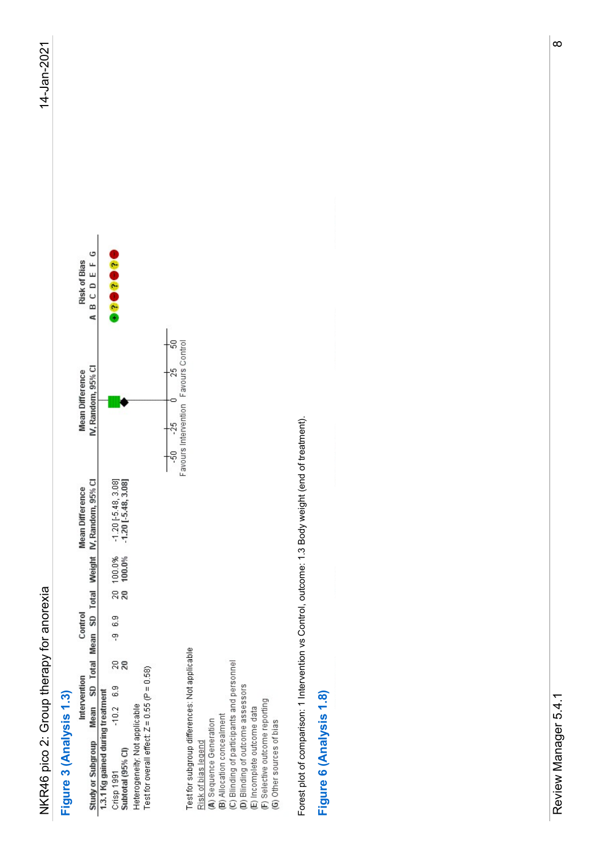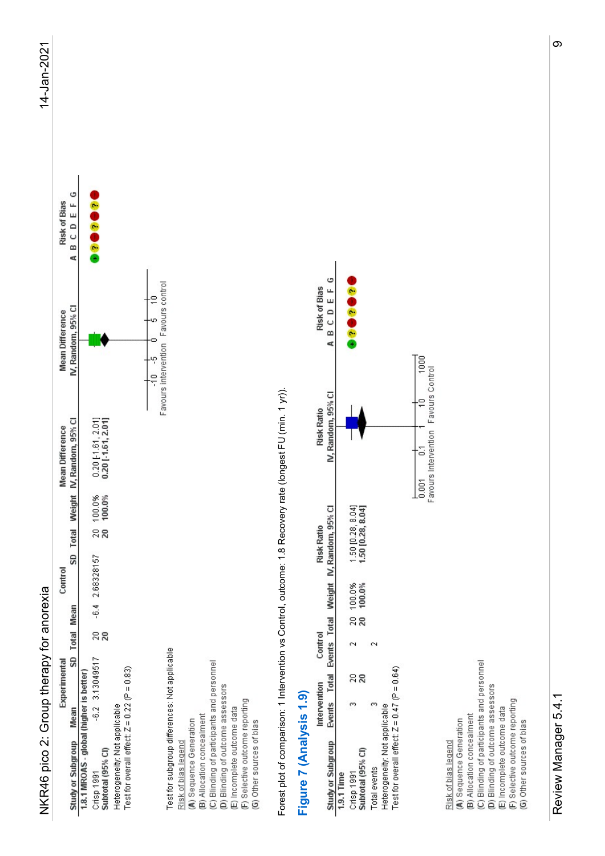| Τ      |
|--------|
| í      |
|        |
| t<br>ι |
|        |
| ĩ      |

| Mean Difference<br>IV, Random, 95% Cl<br>Mean Difference<br>SD Total Weight IV, Random, 95% Cl<br>$0.20$ [-1.61, 2.01]<br>0.20 [-1.61, 2.01]<br>100.0%<br>100.0%<br>$\frac{20}{20}$<br>2.68328157<br>Control<br>$-6.4$<br>SD Total Mean<br>$\frac{20}{20}$<br>$-6.2$ 3.13049517<br>Experimental<br>Study or Subgroup Mean<br>1.8.1 MROAS - global (higher is better)<br>Crisp 1991<br>Subtotal (95% CI) |                                        | 14-Jan-2021 |
|---------------------------------------------------------------------------------------------------------------------------------------------------------------------------------------------------------------------------------------------------------------------------------------------------------------------------------------------------------------------------------------------------------|----------------------------------------|-------------|
|                                                                                                                                                                                                                                                                                                                                                                                                         | $\circ$<br>Risk of Bias<br>A B C D E F |             |
| Heterogeneity: Not applicable<br>Test for overall effect: Z = 0.22 (P = 0.83)                                                                                                                                                                                                                                                                                                                           | 88888                                  |             |
| ٠ē<br>-10<br>o<br>Favours intervention<br>Ļ۴<br>$\frac{1}{10}$<br>Test for subgroup differences: Not applicable<br>(C) Blinding of participants and personnel<br>(D) Blinding of outcome assessors<br>(E) incomplete outcome data<br>(F) Selective outcome reporting<br>(G) Other sources of bias<br>Risk of bias legend<br>(A) Sequence Generation<br>(B) Allocation concealment                       | Favours control                        |             |
| A B C D E F<br>Forest plot of comparison: 1 Intervention vs Control, outcome: 1.8 Recovery rate (longest FU (min. 1 yr)).<br>IV, Random, 95% CI<br><b>Risk Ratio</b><br>Total Events Total Weight IV, Random, 95% Cl<br><b>Risk Ratio</b><br>Control<br>Intervention<br>Figure 7 (Analysis 1.9)<br>Events                                                                                               | c<br><b>Risk of Bias</b>               |             |
| ,,,,,,<br>$1.50 [0.28, 8.04]$ $1.50 [0.28, 8.04]$<br>20 100.0%<br>20 100.0%<br>$\sim$<br>$\sim$<br>$= 0.64$<br>$\mathop{^{20}S}\nolimits$<br>Heterogeneity: Not applicable<br>Test for overall effect: Z = 0.47 (P<br>S.<br>$\infty$<br>Study or Subgroup<br>1.9.1 Time<br>Crisp 1991<br>Subtotal (95% CI)<br>Total events                                                                              |                                        |             |
| IU<br>Favours Control<br>$\begin{array}{ c c }\hline \text{loop} & \text{0.1} & \text{1} \\ \hline 0.001 & \text{thevention} & \text{f} \\ \hline \end{array}$                                                                                                                                                                                                                                          |                                        |             |
| (C) Blinding of participants and personnel<br>(D) Blinding of outcome assessors<br>(E) Incomplete outcome data<br>(F) Selective outcome reporting<br>(G) Other sources of bias<br>Risk of bias legend<br>(A) Sequence Generation<br>(B) Allocation concealment                                                                                                                                          |                                        |             |
| Review Manager 5.4.1                                                                                                                                                                                                                                                                                                                                                                                    |                                        |             |